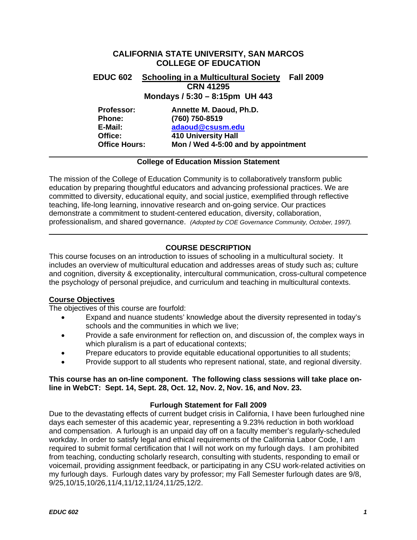# <span id="page-0-0"></span>**CALIFORNIA STATE UNIVERSITY, SAN MARCOS COLLEGE OF EDUCATION EDUC 602 Schooling in a Multicultural Society Fall 2009 CRN 41295 Mondays / 5:30 – 8:15pm UH 443 Professor: Annette M. Daoud, Ph.D. Phone: (760) 750-8519 E-Mail: [adaoud@csusm.edu](mailto:adaoud@csusm.edu) Office: 410 University Hall Office Hours: Mon / Wed 4-5:00 and by appointment**

## **College of Education Mission Statement**

The mission of the College of Education Community is to collaboratively transform public education by preparing thoughtful educators and advancing professional practices. We are committed to diversity, educational equity, and social justice, exemplified through reflective teaching, life-long learning, innovative research and on-going service. Our practices demonstrate a commitment to student-centered education, diversity, collaboration, professionalism, and shared governance. *(Adopted by COE Governance Community, October, 1997).* 

# **COURSE DESCRIPTION**

This course focuses on an introduction to issues of schooling in a multicultural society. It includes an overview of multicultural education and addresses areas of study such as; culture and cognition, diversity & exceptionality, intercultural communication, cross-cultural competence the psychology of personal prejudice, and curriculum and teaching in multicultural contexts.

### **Course Objectives**

The objectives of this course are fourfold:

- Expand and nuance students' knowledge about the diversity represented in today's schools and the communities in which we live;
- Provide a safe environment for reflection on, and discussion of, the complex ways in which pluralism is a part of educational contexts;
- Prepare educators to provide equitable educational opportunities to all students;
- Provide support to all students who represent national, state, and regional diversity.

### **This course has an on-line component. The following class sessions will take place online in WebCT: Sept. 14, Sept. 28, Oct. 12, Nov. 2, Nov. 16, and Nov. 23.**

### **Furlough Statement for Fall 2009**

Due to the devastating effects of current budget crisis in California, I have been furloughed nine days each semester of this academic year, representing a 9.23% reduction in both workload and compensation. A furlough is an unpaid day off on a faculty member's regularly-scheduled workday. In order to satisfy legal and ethical requirements of the California Labor Code, I am required to submit formal certification that I will not work on my furlough days. I am prohibited from teaching, conducting scholarly research, consulting with students, responding to email or voicemail, providing assignment feedback, or participating in any CSU work-related activities on my furlough days. Furlough dates vary by professor; my Fall Semester furlough dates are 9/8, 9/25,10/15,10/26,11/4,11/12,11/24,11/25,12/2.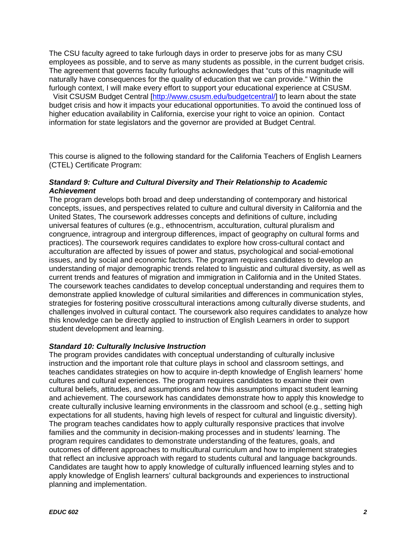The CSU faculty agreed to take furlough days in order to preserve jobs for as many CSU employees as possible, and to serve as many students as possible, in the current budget crisis. The agreement that governs faculty furloughs acknowledges that "cuts of this magnitude will naturally have consequences for the quality of education that we can provide." Within the furlough context, I will make every effort to support your educational experience at CSUSM.

 Visit CSUSM Budget Central [\[http://www.csusm.edu/budgetcentral/\]](https://copilot.csusm.edu/owa/redir.aspx?C=0453348fc0d74f18b5926de47d6e7ca7&URL=http%3a%2f%2fwww.csusm.edu%2fbudgetcentral%2f) to learn about the state budget crisis and how it impacts your educational opportunities. To avoid the continued loss of higher education availability in California, exercise your right to voice an opinion. Contact information for state legislators and the governor are provided at Budget Central.

This course is aligned to the following standard for the California Teachers of English Learners (CTEL) Certificate Program:

## *Standard 9: Culture and Cultural Diversity and Their Relationship to Academic Achievement*

The program develops both broad and deep understanding of contemporary and historical concepts, issues, and perspectives related to culture and cultural diversity in California and the United States, The coursework addresses concepts and definitions of culture, including universal features of cultures (e.g., ethnocentrism, acculturation, cultural pluralism and congruence, intragroup and intergroup differences, impact of geography on cultural forms and practices). The coursework requires candidates to explore how cross-cultural contact and acculturation are affected by issues of power and status, psychological and social-emotional issues, and by social and economic factors. The program requires candidates to develop an understanding of major demographic trends related to linguistic and cultural diversity, as well as current trends and features of migration and immigration in California and in the United States. The coursework teaches candidates to develop conceptual understanding and requires them to demonstrate applied knowledge of cultural similarities and differences in communication styles, strategies for fostering positive crosscultural interactions among culturally diverse students, and challenges involved in cultural contact. The coursework also requires candidates to analyze how this knowledge can be directly applied to instruction of English Learners in order to support student development and learning.

## *Standard 10: Culturally Inclusive Instruction*

The program provides candidates with conceptual understanding of culturally inclusive instruction and the important role that culture plays in school and classroom settings, and teaches candidates strategies on how to acquire in-depth knowledge of English learners' home cultures and cultural experiences. The program requires candidates to examine their own cultural beliefs, attitudes, and assumptions and how this assumptions impact student learning and achievement. The coursework has candidates demonstrate how to apply this knowledge to create culturally inclusive learning environments in the classroom and school (e.g., setting high expectations for all students, having high levels of respect for cultural and linguistic diversity). The program teaches candidates how to apply culturally responsive practices that involve families and the community in decision-making processes and in students' learning. The program requires candidates to demonstrate understanding of the features, goals, and outcomes of different approaches to multicultural curriculum and how to implement strategies that reflect an inclusive approach with regard to students cultural and language backgrounds. Candidates are taught how to apply knowledge of culturally influenced learning styles and to apply knowledge of English learners' cultural backgrounds and experiences to instructional planning and implementation.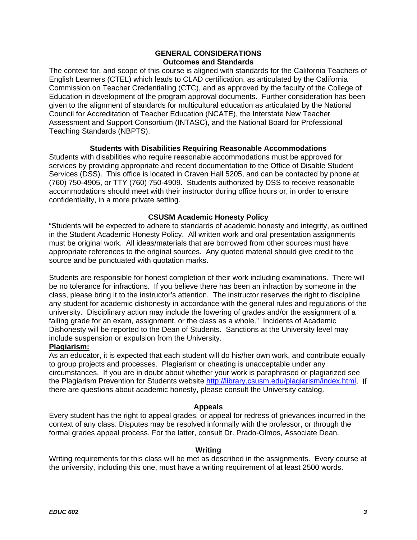### **GENERAL CONSIDERATIONS Outcomes and Standards**

<span id="page-2-0"></span>The context for, and scope of this course is aligned with standards for the California Teachers of English Learners (CTEL) which leads to CLAD certification, as articulated by the California Commission on Teacher Credentialing (CTC), and as approved by the faculty of the College of Education in development of the program approval documents. Further consideration has been given to the alignment of standards for multicultural education as articulated by the National Council for Accreditation of Teacher Education (NCATE), the Interstate New Teacher Assessment and Support Consortium (INTASC), and the National Board for Professional Teaching Standards (NBPTS).

## **Students with Disabilities Requiring Reasonable Accommodations**

Students with disabilities who require reasonable accommodations must be approved for services by providing appropriate and recent documentation to the Office of Disable Student Services (DSS). This office is located in Craven Hall 5205, and can be contacted by phone at (760) 750-4905, or TTY (760) 750-4909. Students authorized by DSS to receive reasonable accommodations should meet with their instructor during office hours or, in order to ensure confidentiality, in a more private setting.

## **CSUSM Academic Honesty Policy**

"Students will be expected to adhere to standards of academic honesty and integrity, as outlined in the Student Academic Honesty Policy. All written work and oral presentation assignments must be original work. All ideas/materials that are borrowed from other sources must have appropriate references to the original sources. Any quoted material should give credit to the source and be punctuated with quotation marks.

Students are responsible for honest completion of their work including examinations. There will be no tolerance for infractions. If you believe there has been an infraction by someone in the class, please bring it to the instructor's attention. The instructor reserves the right to discipline any student for academic dishonesty in accordance with the general rules and regulations of the university. Disciplinary action may include the lowering of grades and/or the assignment of a failing grade for an exam, assignment, or the class as a whole." Incidents of Academic Dishonesty will be reported to the Dean of Students. Sanctions at the University level may include suspension or expulsion from the University.

## **Plagiarism:**

As an educator, it is expected that each student will do his/her own work, and contribute equally to group projects and processes. Plagiarism or cheating is unacceptable under any circumstances. If you are in doubt about whether your work is paraphrased or plagiarized see the Plagiarism Prevention for Students website<http://library.csusm.edu/plagiarism/index.html>. If there are questions about academic honesty, please consult the University catalog.

### **Appeals**

Every student has the right to appeal grades, or appeal for redress of grievances incurred in the context of any class. Disputes may be resolved informally with the professor, or through the formal grades appeal process. For the latter, consult Dr. Prado-Olmos, Associate Dean.

### **Writing**

Writing requirements for this class will be met as described in the assignments. Every course at the university, including this one, must have a writing requirement of at least 2500 words.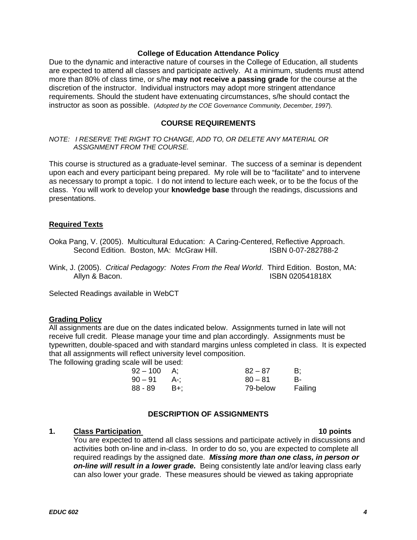### **College of Education Attendance Policy**

<span id="page-3-0"></span>Due to the dynamic and interactive nature of courses in the College of Education, all students are expected to attend all classes and participate actively. At a minimum, students must attend more than 80% of class time, or s/he **may not receive a passing grade** for the course at the discretion of the instructor. Individual instructors may adopt more stringent attendance requirements. Should the student have extenuating circumstances, s/he should contact the instructor as soon as possible. (*Adopted by the COE Governance Community, December, 1997*).

### **COURSE REQUIREMENTS**

*NOTE: I RESERVE THE RIGHT TO CHANGE, ADD TO, OR DELETE ANY MATERIAL OR ASSIGNMENT FROM THE COURSE.*

This course is structured as a graduate-level seminar. The success of a seminar is dependent upon each and every participant being prepared. My role will be to "facilitate" and to intervene as necessary to prompt a topic. I do not intend to lecture each week, or to be the focus of the class. You will work to develop your **knowledge base** through the readings, discussions and presentations.

### **Required Texts**

- Ooka Pang, V. (2005). Multicultural Education: A Caring-Centered, Reflective Approach. Second Edition. Boston, MA: McGraw Hill. **ISBN 0-07-282788-2**
- Wink, J. (2005). *Critical Pedagogy: Notes From the Real World*. Third Edition. Boston, MA: Allyn & Bacon. **ISBN 020541818X**

Selected Readings available in WebCT

### **Grading Policy**

All assignments are due on the dates indicated below. Assignments turned in late will not receive full credit. Please manage your time and plan accordingly. Assignments must be typewritten, double-spaced and with standard margins unless completed in class. It is expected that all assignments will reflect university level composition.

The following grading scale will be used:

| $92 - 100$ |       | $82 - 87$ | B:      |
|------------|-------|-----------|---------|
| $90-91$    | A-: 1 | $80 - 81$ | В-      |
| 88 - 89    | - B+: | 79-below  | Failing |

## **DESCRIPTION OF ASSIGNMENTS**

### **1.** Class Participation **10 points** 10 points

You are expected to attend all class sessions and participate actively in discussions and activities both on-line and in-class. In order to do so, you are expected to complete all required readings by the assigned date. *Missing more than one class, in person or on-line will result in a lower grade.* Being consistently late and/or leaving class early can also lower your grade. These measures should be viewed as taking appropriate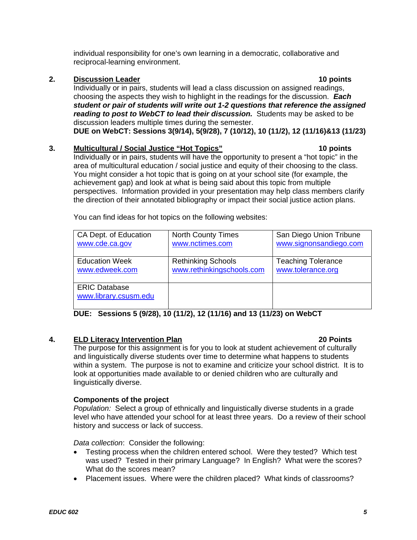individual responsibility for one's own learning in a democratic, collaborative and reciprocal-learning environment.

## **2. Discussion Leader** 10 points

Individually or in pairs, students will lead a class discussion on assigned readings, choosing the aspects they wish to highlight in the readings for the discussion. *Each student or pair of students will write out 1-2 questions that reference the assigned reading to post to WebCT to lead their discussion.* Students may be asked to be discussion leaders multiple times during the semester. **DUE on WebCT: Sessions 3(9/14), 5(9/28), 7 (10/12), 10 (11/2), 12 (11/16)&13 (11/23)** 

## **3. Multicultural / Social Justice "Hot Topics" 10 points**

Individually or in pairs, students will have the opportunity to present a "hot topic" in the area of multicultural education / social justice and equity of their choosing to the class. You might consider a hot topic that is going on at your school site (for example, the achievement gap) and look at what is being said about this topic from multiple perspectives. Information provided in your presentation may help class members clarify the direction of their annotated bibliography or impact their social justice action plans.

| CA Dept. of Education | <b>North County Times</b> | San Diego Union Tribune   |
|-----------------------|---------------------------|---------------------------|
| www.cde.ca.gov        | www.nctimes.com           | www.signonsandiego.com    |
|                       |                           |                           |
|                       |                           |                           |
| <b>Education Week</b> | <b>Rethinking Schools</b> | <b>Teaching Tolerance</b> |
|                       |                           |                           |
| www.edweek.com        | www.rethinkingschools.com | www.tolerance.org         |
|                       |                           |                           |
|                       |                           |                           |
| <b>ERIC Database</b>  |                           |                           |
| www.library.csusm.edu |                           |                           |
|                       |                           |                           |
|                       |                           |                           |

You can find ideas for hot topics on the following websites:

**DUE: Sessions 5 (9/28), 10 (11/2), 12 (11/16) and 13 (11/23) on WebCT** 

# **4. ELD Literacy Intervention Plan 20 Points**

The purpose for this assignment is for you to look at student achievement of culturally and linguistically diverse students over time to determine what happens to students within a system. The purpose is not to examine and criticize your school district. It is to look at opportunities made available to or denied children who are culturally and linguistically diverse.

### **Components of the project**

*Population:* Select a group of ethnically and linguistically diverse students in a grade level who have attended your school for at least three years. Do a review of their school history and success or lack of success.

*Data collection*: Consider the following:

- Testing process when the children entered school. Were they tested? Which test was used? Tested in their primary Language? In English? What were the scores? What do the scores mean?
- Placement issues. Where were the children placed? What kinds of classrooms?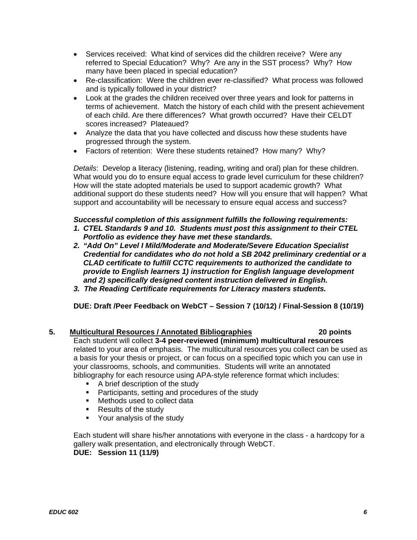- Services received: What kind of services did the children receive? Were any referred to Special Education? Why? Are any in the SST process? Why? How many have been placed in special education?
- Re-classification: Were the children ever re-classified? What process was followed and is typically followed in your district?
- Look at the grades the children received over three years and look for patterns in terms of achievement. Match the history of each child with the present achievement of each child. Are there differences? What growth occurred? Have their CELDT scores increased? Plateaued?
- Analyze the data that you have collected and discuss how these students have progressed through the system.
- Factors of retention: Were these students retained? How many? Why?

*Details*: Develop a literacy (listening, reading, writing and oral) plan for these children. What would you do to ensure equal access to grade level curriculum for these children? How will the state adopted materials be used to support academic growth? What additional support do these students need? How will you ensure that will happen? What support and accountability will be necessary to ensure equal access and success?

## *Successful completion of this assignment fulfills the following requirements:*

- *1. CTEL Standards 9 and 10. Students must post this assignment to their CTEL Portfolio as evidence they have met these standards.*
- *2. "Add On" Level I Mild/Moderate and Moderate/Severe Education Specialist Credential for candidates who do not hold a SB 2042 preliminary credential or a CLAD certificate to fulfill CCTC requirements to authorized the candidate to provide to English learners 1) instruction for English language development and 2) specifically designed content instruction delivered in English.*
- *3. The Reading Certificate requirements for Literacy masters students.*

**DUE: Draft /Peer Feedback on WebCT – Session 7 (10/12) / Final-Session 8 (10/19)** 

## **5. Multicultural Resources / Annotated Bibliographies 20 points**

Each student will collect **3-4 peer-reviewed (minimum) multicultural resources** related to your area of emphasis. The multicultural resources you collect can be used as a basis for your thesis or project, or can focus on a specified topic which you can use in your classrooms, schools, and communities. Students will write an annotated bibliography for each resource using APA-style reference format which includes:

- **A brief description of the study**
- **Participants, setting and procedures of the study**
- **Nethods used to collect data**
- Results of the study
- **•** Your analysis of the study

Each student will share his/her annotations with everyone in the class - a hardcopy for a gallery walk presentation, and electronically through WebCT.

# **DUE: Session 11 (11/9)**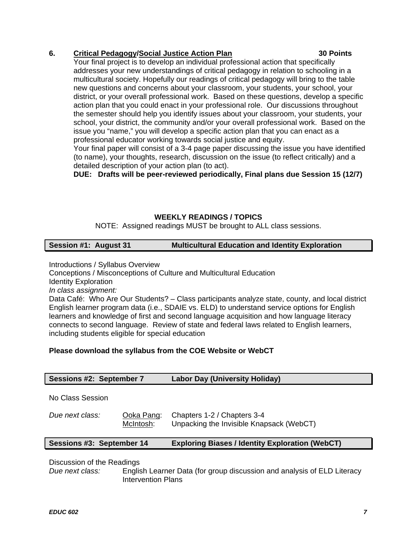# <span id="page-6-0"></span>**6. Critical Pedagogy/Social Justice Action Plan 30 Points**

Your final project is to develop an individual professional action that specifically addresses your new understandings of critical pedagogy in relation to schooling in a multicultural society. Hopefully our readings of critical pedagogy will bring to the table new questions and concerns about your classroom, your students, your school, your district, or your overall professional work. Based on these questions, develop a specific action plan that you could enact in your professional role. Our discussions throughout the semester should help you identify issues about your classroom, your students, your school, your district, the community and/or your overall professional work. Based on the issue you "name," you will develop a specific action plan that you can enact as a professional educator working towards social justice and equity.

Your final paper will consist of a 3-4 page paper discussing the issue you have identified (to name), your thoughts, research, discussion on the issue (to reflect critically) and a detailed description of your action plan (to act).

**DUE: Drafts will be peer-reviewed periodically, Final plans due Session 15 (12/7)** 

# **WEEKLY READINGS / TOPICS**

NOTE: Assigned readings MUST be brought to ALL class sessions.

# **Session #1: August 31 Multicultural Education and Identity Exploration**

Introductions / Syllabus Overview

Conceptions / Misconceptions of Culture and Multicultural Education

Identity Exploration

*In class assignment:* 

Data Café: Who Are Our Students? – Class participants analyze state, county, and local district English learner program data (i.e., SDAIE vs. ELD) to understand service options for English learners and knowledge of first and second language acquisition and how language literacy connects to second language. Review of state and federal laws related to English learners, including students eligible for special education

# **Please download the syllabus from the COE Website or WebCT**

| Sessions #2: September 7  |                         | <b>Labor Day (University Holiday)</b>                                   |
|---------------------------|-------------------------|-------------------------------------------------------------------------|
| No Class Session          |                         |                                                                         |
| Due next class:           | Ooka Pang:<br>McIntosh: | Chapters 1-2 / Chapters 3-4<br>Unpacking the Invisible Knapsack (WebCT) |
| Sessions #3: September 14 |                         | <b>Exploring Biases / Identity Exploration (WebCT)</b>                  |

Discussion of the Readings

*Due next class:* English Learner Data (for group discussion and analysis of ELD Literacy Intervention Plans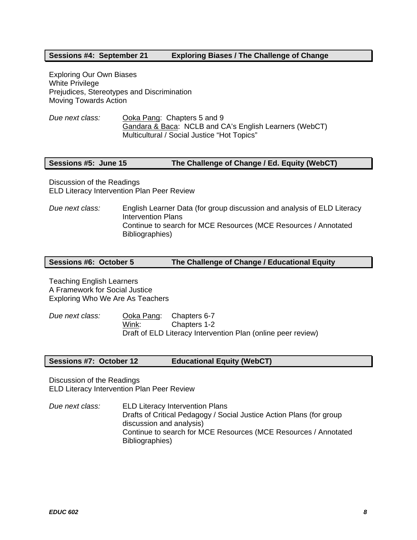### **Sessions #4: September 21 Exploring Biases / The Challenge of Change**

Exploring Our Own Biases White Privilege Prejudices, Stereotypes and Discrimination Moving Towards Action

*Due next class:* Ooka Pang: Chapters 5 and 9 Gandara & Baca: NCLB and CA's English Learners (WebCT) Multicultural / Social Justice "Hot Topics"

### **Sessions #5: June 15 The Challenge of Change / Ed. Equity (WebCT)**

Discussion of the Readings ELD Literacy Intervention Plan Peer Review

*Due next class:* English Learner Data (for group discussion and analysis of ELD Literacy Intervention Plans Continue to search for MCE Resources (MCE Resources / Annotated Bibliographies)

### **Sessions #6: October 5 The Challenge of Change / Educational Equity**

Teaching English Learners A Framework for Social Justice Exploring Who We Are As Teachers

*Due next class:* Ooka Pang: Chapters 6-7 Wink: Chapters 1-2 Draft of ELD Literacy Intervention Plan (online peer review)

### **Sessions #7: October 12 Educational Equity (WebCT)**

Discussion of the Readings ELD Literacy Intervention Plan Peer Review

*Due next class:* ELD Literacy Intervention Plans Drafts of Critical Pedagogy / Social Justice Action Plans (for group discussion and analysis) Continue to search for MCE Resources (MCE Resources / Annotated Bibliographies)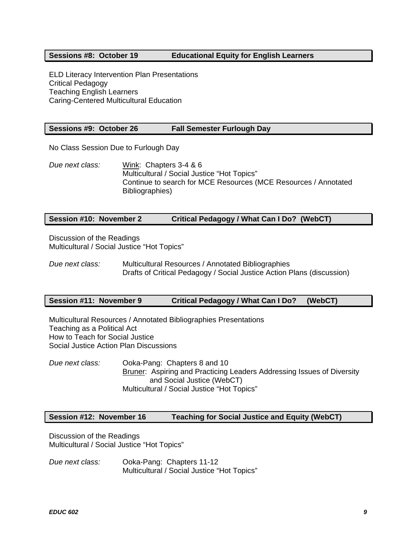## **Sessions #8: October 19 Educational Equity for English Learners**

ELD Literacy Intervention Plan Presentations Critical Pedagogy Teaching English Learners Caring-Centered Multicultural Education

### **Sessions #9: October 26 Fall Semester Furlough Day**

No Class Session Due to Furlough Day

*Due next class:* Wink: Chapters 3-4 & 6 Multicultural / Social Justice "Hot Topics" Continue to search for MCE Resources (MCE Resources / Annotated Bibliographies)

### **Session #10: November 2 Critical Pedagogy / What Can I Do? (WebCT)**

Discussion of the Readings Multicultural / Social Justice "Hot Topics"

*Due next class:* Multicultural Resources / Annotated Bibliographies Drafts of Critical Pedagogy / Social Justice Action Plans (discussion)

### **Session #11: November 9 Critical Pedagogy / What Can I Do? (WebCT)**

Multicultural Resources / Annotated Bibliographies Presentations Teaching as a Political Act How to Teach for Social Justice Social Justice Action Plan Discussions

*Due next class:* Ooka-Pang: Chapters 8 and 10 Bruner: Aspiring and Practicing Leaders Addressing Issues of Diversity and Social Justice (WebCT) Multicultural / Social Justice "Hot Topics"

# **Session #12: November 16 Teaching for Social Justice and Equity (WebCT)**

Discussion of the Readings Multicultural / Social Justice "Hot Topics"

*Due next class:* Ooka-Pang: Chapters 11-12 Multicultural / Social Justice "Hot Topics"